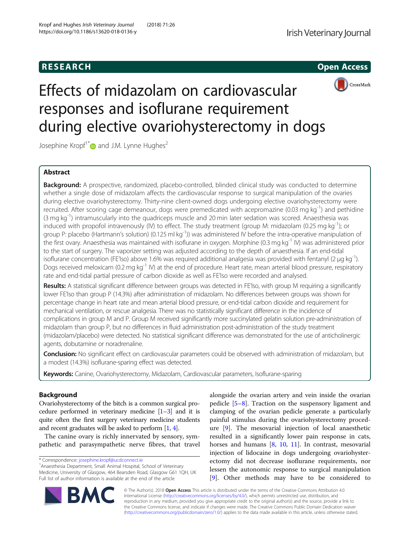

# Effects of midazolam on cardiovascular responses and isoflurane requirement during elective ovariohysterectomy in dogs

Josephine Kropf<sup>1\*</sup> $\bullet$  and J.M. Lynne Hughes<sup>2</sup>

# Abstract

Background: A prospective, randomized, placebo-controlled, blinded clinical study was conducted to determine whether a single dose of midazolam affects the cardiovascular response to surgical manipulation of the ovaries during elective ovariohysterectomy. Thirty-nine client-owned dogs undergoing elective ovariohysterectomy were recruited. After scoring cage demeanour, dogs were premedicated with acepromazine (0.03 mg kg<sup>-1</sup>) and pethidine  $(3 \text{ mg kg}^{-1})$  intramuscularly into the quadriceps muscle and 20 min later sedation was scored. Anaesthesia was induced with propofol intravenously (IV) to effect. The study treatment (group M: midazolam (0.25 mg kg<sup>-1</sup>); or group P: placebo (Hartmann's solution) (0.125 ml kg<sup>-1</sup>)) was administered IV before the intra-operative manipulation of the first ovary. Anaesthesia was maintained with isoflurane in oxygen. Morphine (0.3 mg kg<sup>-1</sup> IV) was administered prior to the start of surgery. The vaporizer setting was adjusted according to the depth of anaesthesia. If an end-tidal isoflurane concentration (FE'Iso) above 1.6% was required additional analgesia was provided with fentanyl (2 μg kg<sup>-1</sup>). Dogs received meloxicam (0.2 mg kg<sup>-1</sup> IV) at the end of procedure. Heart rate, mean arterial blood pressure, respiratory rate and end-tidal partial pressure of carbon dioxide as well as FE'Iso were recorded and analysed.

Results: A statistical significant difference between groups was detected in FE'Iso, with group M requiring a significantly lower FE'Iso than group P (14.3%) after administration of midazolam. No differences between groups was shown for percentage change in heart rate and mean arterial blood pressure, or end-tidal carbon dioxide and requirement for mechanical ventilation, or rescue analgesia. There was no statistically significant difference in the incidence of complications in group M and P. Group M received significantly more succinylated gelatin solution pre-administration of midazolam than group P, but no differences in fluid administration post-administration of the study treatment (midazolam/placebo) were detected. No statistical significant difference was demonstrated for the use of anticholinergic agents, dobutamine or noradrenaline.

Conclusion: No significant effect on cardiovascular parameters could be observed with administration of midazolam, but a modest (14.3%) isoflurane-sparing effect was detected.

Keywords: Canine, Ovariohysterectomy, Midazolam, Cardiovascular parameters, Isoflurane-sparing

# Background

Ovariohysterectomy of the bitch is a common surgical procedure performed in veterinary medicine [\[1](#page-8-0)–[3\]](#page-8-0) and it is quite often the first surgery veterinary medicine students and recent graduates will be asked to perform [[1](#page-8-0), [4\]](#page-8-0).

The canine ovary is richly innervated by sensory, sympathetic and parasympathetic nerve fibres, that travel

**BM** 

<sup>1</sup> Anaesthesia Department, Small Animal Hospital, School of Veterinary Medicine, University of Glasgow, 464 Bearsden Road, Glasgow G61 1QH, UK Full list of author information is available at the end of the article



© The Author(s). 2018 Open Access This article is distributed under the terms of the Creative Commons Attribution 4.0 International License [\(http://creativecommons.org/licenses/by/4.0/](http://creativecommons.org/licenses/by/4.0/)), which permits unrestricted use, distribution, and reproduction in any medium, provided you give appropriate credit to the original author(s) and the source, provide a link to the Creative Commons license, and indicate if changes were made. The Creative Commons Public Domain Dedication waiver [\(http://creativecommons.org/publicdomain/zero/1.0/](http://creativecommons.org/publicdomain/zero/1.0/)) applies to the data made available in this article, unless otherwise stated.

<sup>\*</sup> Correspondence: [josephine.kropf@ucdconnect.ie](mailto:josephine.kropf@ucdconnect.ie) <sup>1</sup>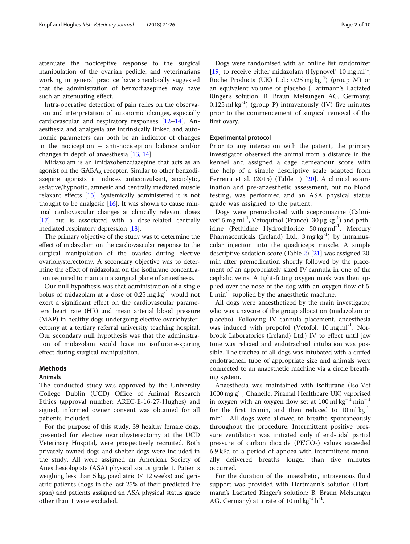attenuate the nociceptive response to the surgical manipulation of the ovarian pedicle, and veterinarians working in general practice have anecdotally suggested that the administration of benzodiazepines may have such an attenuating effect.

Intra-operative detection of pain relies on the observation and interpretation of autonomic changes, especially cardiovascular and respiratory responses [\[12](#page-8-0)–[14\]](#page-8-0). Anaesthesia and analgesia are intrinsically linked and autonomic parameters can both be an indicator of changes in the nociception – anti-nociception balance and/or changes in depth of anaesthesia [\[13](#page-8-0), [14\]](#page-8-0).

Midazolam is an imidazobenzdiazepine that acts as an agonist on the  $GABA_A$  receptor. Similar to other benzodiazepine agonists it induces anticonvulsant, anxiolytic, sedative/hypnotic, amnesic and centrally mediated muscle relaxant effects [[15](#page-8-0)]. Systemically administered it is not thought to be analgesic  $[16]$ . It was shown to cause minimal cardiovascular changes at clinically relevant doses [[17](#page-8-0)] but is associated with a dose-related centrally mediated respiratory depression [\[18\]](#page-8-0).

The primary objective of the study was to determine the effect of midazolam on the cardiovascular response to the surgical manipulation of the ovaries during elective ovariohysterectomy. A secondary objective was to determine the effect of midazolam on the isoflurane concentration required to maintain a surgical plane of anaesthesia.

Our null hypothesis was that administration of a single bolus of midazolam at a dose of  $0.25 \,\text{mg}\,\text{kg}^{-1}$  would not exert a significant effect on the cardiovascular parameters heart rate (HR) and mean arterial blood pressure (MAP) in healthy dogs undergoing elective ovariohysterectomy at a tertiary referral university teaching hospital. Our secondary null hypothesis was that the administration of midazolam would have no isoflurane-sparing effect during surgical manipulation.

# Methods

#### Animals

The conducted study was approved by the University College Dublin (UCD) Office of Animal Research Ethics (approval number: AREC-E-16-27-Hughes) and signed, informed owner consent was obtained for all patients included.

For the purpose of this study, 39 healthy female dogs, presented for elective ovariohysterectomy at the UCD Veterinary Hospital, were prospectively recruited. Both privately owned dogs and shelter dogs were included in the study. All were assigned an American Society of Anesthesiologists (ASA) physical status grade 1. Patients weighing less than 5 kg, paediatric  $( \leq 12 \text{ weeks})$  and geriatric patients (dogs in the last 25% of their predicted life span) and patients assigned an ASA physical status grade other than 1 were excluded.

Dogs were randomised with an online list randomizer [[19\]](#page-8-0) to receive either midazolam (Hypnovel<sup>®</sup> 10 mg ml<sup>-1</sup>, Roche Products (UK) Ltd.; 0.25 mg kg-1) (group M) or an equivalent volume of placebo (Hartmann's Lactated Ringer's solution; B. Braun Melsungen AG, Germany; 0.125 ml kg<sup>-1</sup>) (group P) intravenously (IV) five minutes prior to the commencement of surgical removal of the first ovary.

# Experimental protocol

Prior to any interaction with the patient, the primary investigator observed the animal from a distance in the kennel and assigned a cage demeanour score with the help of a simple descriptive scale adapted from Ferreira et al. (2015) (Table [1\)](#page-3-0) [[20\]](#page-8-0). A clinical examination and pre-anaesthetic assessment, but no blood testing, was performed and an ASA physical status grade was assigned to the patient.

Dogs were premedicated with acepromazine (Calmivet<sup>®</sup> 5 mg ml<sup>-1</sup>, Vetoquinol (France); 30 μg kg<sup>-1</sup>) and pethidine (Pethidine Hydrochloride 50 mg ml<sup>-1</sup>, Mercury Pharmaceuticals (Ireland) Ltd.;  $3 \text{ mg kg}^{-1}$ ) by intramuscular injection into the quadriceps muscle. A simple descriptive sedation score (Table [2](#page-3-0)) [\[21](#page-8-0)] was assigned 20 min after premedication shortly followed by the placement of an appropriately sized IV cannula in one of the cephalic veins. A tight-fitting oxygen mask was then applied over the nose of the dog with an oxygen flow of 5  $L \text{ min}^{-1}$  supplied by the anaesthetic machine.

All dogs were anaesthetized by the main investigator, who was unaware of the group allocation (midazolam or placebo). Following IV cannula placement, anaesthesia was induced with propofol (Vetofol,  $10 \text{ mg ml}^{-1}$ , Norbrook Laboratories (Ireland) Ltd.) IV to effect until jaw tone was relaxed and endotracheal intubation was possible. The trachea of all dogs was intubated with a cuffed endotracheal tube of appropriate size and animals were connected to an anaesthetic machine via a circle breathing system.

Anaesthesia was maintained with isoflurane (Iso-Vet 1000 mg  $g^{-1}$ , Chanelle, Piramal Healthcare UK) vaporised in oxygen with an oxygen flow set at 100 ml kg<sup>-1</sup> min<sup>-1</sup> for the first 15 min, and then reduced to  $10 \text{ ml kg}^{-1}$ min<sup>-1</sup>. All dogs were allowed to breathe spontaneously throughout the procedure. Intermittent positive pressure ventilation was initiated only if end-tidal partial pressure of carbon dioxide ( $PE'CO<sub>2</sub>$ ) values exceeded 6.9 kPa or a period of apnoea with intermittent manually delivered breaths longer than five minutes occurred.

For the duration of the anaesthetic, intravenous fluid support was provided with Hartmann's solution (Hartmann's Lactated Ringer's solution; B. Braun Melsungen AG, Germany) at a rate of  $10 \text{ ml kg}^{-1} \text{ h}^{-1}$ .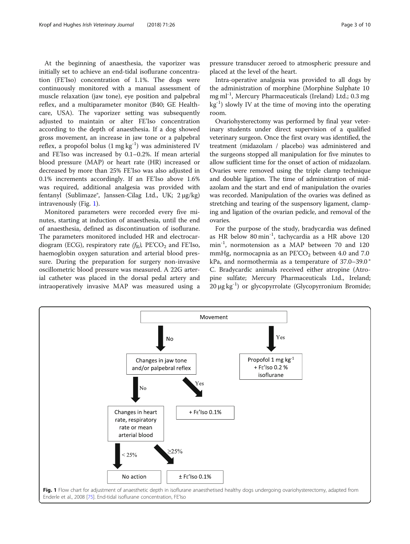At the beginning of anaesthesia, the vaporizer was initially set to achieve an end-tidal isoflurane concentration (FE'Iso) concentration of 1.1%. The dogs were continuously monitored with a manual assessment of muscle relaxation (jaw tone), eye position and palpebral reflex, and a multiparameter monitor (B40; GE Healthcare, USA). The vaporizer setting was subsequently adjusted to maintain or alter FE'Iso concentration according to the depth of anaesthesia. If a dog showed gross movement, an increase in jaw tone or a palpebral reflex, a propofol bolus (1 mg kg<sup>-1</sup>) was administered IV and FE'Iso was increased by 0.1–0.2%. If mean arterial blood pressure (MAP) or heart rate (HR) increased or decreased by more than 25% FE'Iso was also adjusted in 0.1% increments accordingly. If an FE'Iso above 1.6% was required, additional analgesia was provided with fentanyl (Sublimaze®, Janssen-Cilag Ltd., UK; 2 μg/kg) intravenously (Fig. 1).

Monitored parameters were recorded every five minutes, starting at induction of anaesthesia, until the end of anaesthesia, defined as discontinuation of isoflurane. The parameters monitored included HR and electrocardiogram (ECG), respiratory rate  $(f_R)$ , PE'CO<sub>2</sub> and FE'Iso, haemoglobin oxygen saturation and arterial blood pressure. During the preparation for surgery non-invasive oscillometric blood pressure was measured. A 22G arterial catheter was placed in the dorsal pedal artery and intraoperatively invasive MAP was measured using a

Intra-operative analgesia was provided to all dogs by the administration of morphine (Morphine Sulphate 10 mg ml<sup>-1</sup>, Mercury Pharmaceuticals (Ireland) Ltd.; 0.3 mg  $kg^{-1}$ ) slowly IV at the time of moving into the operating room.

Ovariohysterectomy was performed by final year veterinary students under direct supervision of a qualified veterinary surgeon. Once the first ovary was identified, the treatment (midazolam / placebo) was administered and the surgeons stopped all manipulation for five minutes to allow sufficient time for the onset of action of midazolam. Ovaries were removed using the triple clamp technique and double ligation. The time of administration of midazolam and the start and end of manipulation the ovaries was recorded. Manipulation of the ovaries was defined as stretching and tearing of the suspensory ligament, clamping and ligation of the ovarian pedicle, and removal of the ovaries.

For the purpose of the study, bradycardia was defined as HR below 80 min-1, tachycardia as a HR above 120 min<sup>-1</sup>, normotension as a MAP between 70 and 120 mmHg, normocapnia as an  $PE'CO<sub>2</sub>$  between 4.0 and 7.0 kPa, and normothermia as a temperature of 37.0–39.0 ° C. Bradycardic animals received either atropine (Atropine sulfate; Mercury Pharmaceuticals Ltd., Ireland; 20  $\mu$ g kg<sup>-1</sup>) or glycopyrrolate (Glycopyrronium Bromide;

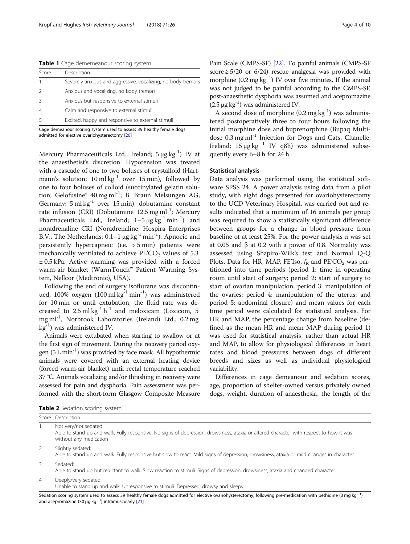<span id="page-3-0"></span>Table 1 Cage dememeanour scoring system

| Score | Description                                                  |
|-------|--------------------------------------------------------------|
|       | Severely anxious and aggressive, vocalizing, no body tremors |
|       | Anxious and vocalizing, no body tremors                      |
|       | Anxious but responsive to external stimuli                   |
|       | Calm and responsive to external stimuli                      |
|       | Excited, happy and responsive to external stimuli            |

Cage demeanour scoring system used to assess 39 healthy female dogs admitted for elective ovariohysterectomy [\[20\]](#page-8-0)

Mercury Pharmaceuticals Ltd., Ireland;  $5 \mu g kg^{-1}$ ) IV at the anaesthetist's discretion. Hypotension was treated with a cascade of one to two boluses of crystalloid (Hartmann's solution;  $10 \text{ ml kg}^{-1}$  over  $15 \text{ min}$ ), followed by one to four boluses of colloid (succinylated gelatin solution; Gelofusine<sup>®</sup> 40 mg ml<sup>-1</sup>; B. Braun Melsungen AG, Germany;  $5 \text{ ml kg}^{-1}$  over  $15 \text{ min}$ ), dobutamine constant rate infusion (CRI) (Dobutamine 12.5 mg m $l^{-1}$ ; Mercury Pharmaceuticals Ltd., Ireland;  $1-5 \mu g kg^{-1} min^{-1}$  and noradrenaline CRI (Noradrenaline; Hospira Enterprises B.V., The Netherlands;  $0.1-1 \mu g kg^{-1} min^{-1}$ ). Apnoeic and persistently hypercapneic (i.e. > 5 min) patients were mechanically ventilated to achieve  $PE'CO<sub>2</sub>$  values of 5.3 ± 0.5 kPa. Active warming was provided with a forced warm-air blanket (WarmTouch™ Patient Warming System, Nellcor (Medtronic), USA).

Following the end of surgery isoflurane was discontinued, 100% oxygen  $(100 \text{ ml kg}^{-1} \text{ min}^{-1})$  was administered for 10 min or until extubation, the fluid rate was decreased to  $2.5$  ml kg<sup>-1</sup> h<sup>-1</sup> and meloxicam (Loxicom, 5 mg ml-1, Norbrook Laboratories (Ireland) Ltd.; 0.2 mg  $kg^{-1}$ ) was administered IV.

Animals were extubated when starting to swallow or at the first sign of movement. During the recovery period oxygen  $(5 L min^{-1})$  was provided by face mask. All hypothermic animals were covered with an external heating device (forced warm-air blanket) until rectal temperature reached 37 °C. Animals vocalizing and/or thrashing in recovery were assessed for pain and dysphoria. Pain assessment was performed with the short-form Glasgow Composite Measure

Pain Scale (CMPS-SF) [\[22](#page-8-0)]. To painful animals (CMPS-SF score  $\geq 5/20$  or 6/24) rescue analgesia was provided with morphine (0.2 mg kg<sup>-1</sup>) IV over five minutes. If the animal was not judged to be painful according to the CMPS-SF, post-anaesthetic dysphoria was assumed and acepromazine  $(2.5 \,\mu g \,\text{kg}^{-1})$  was administered IV.

A second dose of morphine  $(0.2 \text{ mg kg}^{-1})$  was administered postoperatively three to four hours following the initial morphine dose and buprenorphine (Bupaq Multidose 0.3 mg ml<sup>-1</sup> Injection for Dogs and Cats, Chanelle, Ireland;  $15 \mu g kg^{-1}$  IV q8h) was administered subsequently every 6–8 h for 24 h.

# Statistical analysis

Data analysis was performed using the statistical software SPSS 24. A power analysis using data from a pilot study, with eight dogs presented for ovariohysterectomy to the UCD Veterinary Hospital, was carried out and results indicated that a minimum of 16 animals per group was required to show a statistically significant difference between groups for a change in blood pressure from baseline of at least 25%. For the power analysis  $\alpha$  was set at 0.05 and β at 0.2 with a power of 0.8. Normality was assessed using Shapiro-Wilk's test and Normal Q-Q Plots. Data for HR, MAP, FE'Iso,  $f_R$  and PE'CO<sub>2</sub> was partitioned into time periods (period 1: time in operating room until start of surgery; period 2: start of surgery to start of ovarian manipulation; period 3: manipulation of the ovaries; period 4: manipulation of the uterus; and period 5: abdominal closure) and mean values for each time period were calculated for statistical analysis. For HR and MAP, the percentage change from baseline (defined as the mean HR and mean MAP during period 1) was used for statistical analysis, rather than actual HR and MAP, to allow for physiological differences in heart rates and blood pressures between dogs of different breeds and sizes as well as individual physiological variability.

Differences in cage demeanour and sedation scores, age, proportion of shelter-owned versus privately owned dogs, weight, duration of anaesthesia, the length of the

| Table 2 Sedation scoring system |  |  |
|---------------------------------|--|--|
|---------------------------------|--|--|

|                | Score Description                                                                                                                                                                          |
|----------------|--------------------------------------------------------------------------------------------------------------------------------------------------------------------------------------------|
|                | Not very/not sedated:<br>Able to stand up and walk. Fully responsive. No signs of depression, drowsiness, ataxia or altered character with respect to how it was<br>without any medication |
| 2              | Slightly sedated:<br>Able to stand up and walk. Fully responsive but slow to react. Mild signs of depression, drowsiness, ataxia or mild changes in character                              |
| 3              | Sedated:<br>Able to stand up but reluctant to walk. Slow reaction to stimuli. Signs of depression, drowsiness, ataxia and changed character                                                |
| $\overline{4}$ | Deeply/very sedated:<br>Unable to stand up and walk Unrespensive to stimuli Depressed drows and sleepy                                                                                     |

Unable to stand up and walk. Unresponsive to stimuli. Depressed, drowsy and sleepy

Sedation scoring system used to assess 39 healthy female dogs admitted for elective ovariohysterectomy, following pre-medication with pethidine (3 mg kg $^{-1}$ ) and acepromazine (30 μg kg<sup>−</sup> <sup>1</sup> ) intramuscularly [[21](#page-8-0)]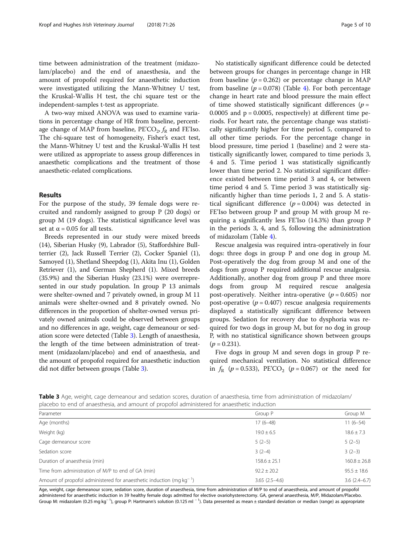time between administration of the treatment (midazolam/placebo) and the end of anaesthesia, and the amount of propofol required for anaesthetic induction were investigated utilizing the Mann-Whitney U test, the Kruskal-Wallis H test, the chi square test or the independent-samples t-test as appropriate.

A two-way mixed ANOVA was used to examine variations in percentage change of HR from baseline, percentage change of MAP from baseline,  $PE'CO_2$ ,  $f_R$  and FE'Iso. The chi-square test of homogeneity, Fisher's exact test, the Mann-Whitney U test and the Kruskal-Wallis H test were utilized as appropriate to assess group differences in anaesthetic complications and the treatment of those anaesthetic-related complications.

# Results

For the purpose of the study, 39 female dogs were recruited and randomly assigned to group P (20 dogs) or group M (19 dogs). The statistical significance level was set at  $\alpha$  = 0.05 for all tests.

Breeds represented in our study were mixed breeds (14), Siberian Husky (9), Labrador (5), Staffordshire Bullterrier (2), Jack Russell Terrier (2), Cocker Spaniel (1), Samoyed (1), Shetland Sheepdog (1), Akita Inu (1), Golden Retriever (1), and German Shepherd (1). Mixed breeds (35.9%) and the Siberian Husky (23.1%) were overrepresented in our study population. In group P 13 animals were shelter-owned and 7 privately owned, in group M 11 animals were shelter-owned and 8 privately owned. No differences in the proportion of shelter-owned versus privately owned animals could be observed between groups and no differences in age, weight, cage demeanour or sedation score were detected (Table 3). Length of anaesthesia, the length of the time between administration of treatment (midazolam/placebo) and end of anaesthesia, and the amount of propofol required for anaesthetic induction did not differ between groups (Table 3).

No statistically significant difference could be detected between groups for changes in percentage change in HR from baseline ( $p = 0.262$ ) or percentage change in MAP from baseline ( $p = 0.078$ ) (Table [4](#page-5-0)). For both percentage change in heart rate and blood pressure the main effect of time showed statistically significant differences ( $p =$ 0.0005 and  $p = 0.0005$ , respectively) at different time periods. For heart rate, the percentage change was statistically significantly higher for time period 5, compared to all other time periods. For the percentage change in blood pressure, time period 1 (baseline) and 2 were statistically significantly lower, compared to time periods 3, 4 and 5. Time period 1 was statistically significantly lower than time period 2. No statistical significant difference existed between time period 3 and 4, or between time period 4 and 5. Time period 3 was statistically significantly higher than time periods 1, 2 and 5. A statistical significant difference  $(p = 0.004)$  was detected in FE'Iso between group P and group M with group M requiring a significantly less FE'Iso (14.3%) than group P in the periods 3, 4, and 5, following the administration of midazolam (Table [4\)](#page-5-0).

Rescue analgesia was required intra-operatively in four dogs: three dogs in group P and one dog in group M. Post-operatively the dog from group M and one of the dogs from group P required additional rescue analgesia. Additionally, another dog from group P and three more dogs from group M required rescue analgesia post-operatively. Neither intra-operative  $(p = 0.605)$  nor post-operative ( $p = 0.407$ ) rescue analgesia requirements displayed a statistically significant difference between groups. Sedation for recovery due to dysphoria was required for two dogs in group M, but for no dog in group P, with no statistical significance shown between groups  $(p = 0.231)$ .

Five dogs in group M and seven dogs in group P required mechanical ventilation. No statistical difference in  $f_R$  ( $p = 0.533$ ), PE'CO<sub>2</sub> ( $p = 0.067$ ) or the need for

Table 3 Age, weight, cage demeanour and sedation scores, duration of anaesthesia, time from administration of midazolam/ placebo to end of anaesthesia, and amount of propofol administered for anaesthetic induction

| Parameter                                                                 | Group P          | Group M          |
|---------------------------------------------------------------------------|------------------|------------------|
| Age (months)                                                              | $17(6-48)$       | $11(6-54)$       |
| Weight (kg)                                                               | $19.0 + 6.5$     | $18.6 \pm 7.3$   |
| Cage demeanour score                                                      | $5(2-5)$         | $5(2-5)$         |
| Sedation score                                                            | $3(2-4)$         | $3(2-3)$         |
| Duration of anaesthesia (min)                                             | $158.6 \pm 25.1$ | $160.8 \pm 26.8$ |
| Time from administration of M/P to end of GA (min)                        | $92.2 \pm 20.2$  | $95.5 \pm 18.6$  |
| Amount of propofol administered for anaesthetic induction (mg $kq^{-1}$ ) | $3.65(2.5-4.6)$  | $3.6(2.4-6.7)$   |

Age, weight, cage demeanour score, sedation score, duration of anaesthesia, time from administration of M/P to end of anaesthesia, and amount of propofol administered for anaesthetic induction in 39 healthy female dogs admitted for elective ovariohysterectomy. GA, general anaesthesia, M/P, Midazolam/Placebo. Group M: midazolam (0.25 mg kg<sup>- 1</sup>), group P: Hartmann's solution (0.125 ml<sup>-1</sup>). Data presented as mean±standard deviation or median (range) as appropriate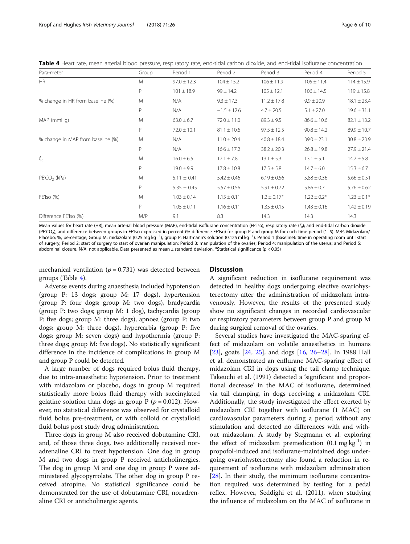<span id="page-5-0"></span>Table 4 Heart rate, mean arterial blood pressure, respiratory rate, end-tidal carbon dioxide, and end-tidal isoflurane concentration

| Para-meter                        | Group | Period 1        | Period 2        | Period 3        | Period 4        | Period 5        |
|-----------------------------------|-------|-----------------|-----------------|-----------------|-----------------|-----------------|
| <b>HR</b>                         | M     | $97.0 \pm 12.3$ | $104 \pm 15.2$  | $106 \pm 11.9$  | $105 \pm 11.4$  | $114 \pm 15.9$  |
|                                   | P     | $101 \pm 18.9$  | $99 \pm 14.2$   | $105 \pm 12.1$  | $106 \pm 14.5$  | $119 \pm 15.8$  |
| % change in HR from baseline (%)  | M     | N/A             | $9.3 \pm 17.3$  | $11.2 \pm 17.8$ | $9.9 \pm 20.9$  | $18.1 \pm 23.4$ |
|                                   | P     | N/A             | $-1.5 \pm 12.6$ | $4.7 \pm 20.5$  | $5.1 \pm 27.0$  | $19.6 \pm 31.1$ |
| MAP (mmHg)                        | M     | $63.0 \pm 6.7$  | $72.0 \pm 11.0$ | $89.3 \pm 9.5$  | $86.6 \pm 10.6$ | $82.1 \pm 13.2$ |
|                                   | P     | $72.0 \pm 10.1$ | $81.1 \pm 10.6$ | $97.5 \pm 12.5$ | $90.8 \pm 14.2$ | $89.9 \pm 10.7$ |
| % change in MAP from baseline (%) | M     | N/A             | $11.0 \pm 20.4$ | $40.8 \pm 18.4$ | $39.0 \pm 23.1$ | $30.8 \pm 23.9$ |
|                                   | P     | N/A             | $16.6 \pm 17.2$ | $38.2 \pm 20.3$ | $26.8 \pm 19.8$ | $27.9 \pm 21.4$ |
| $f_{\rm R}$                       | M     | $16.0 \pm 6.5$  | $17.1 \pm 7.8$  | $13.1 \pm 5.3$  | $13.1 \pm 5.1$  | $14.7 \pm 5.8$  |
|                                   | P     | $19.0 \pm 9.9$  | $17.8 \pm 10.8$ | $17.5 \pm 5.8$  | $14.7 \pm 6.0$  | $15.3 \pm 6.7$  |
| $PECO$ (kPa)                      | M     | $5.11 \pm 0.41$ | $5.42 \pm 0.46$ | $6.19 \pm 0.56$ | $5.88 \pm 0.36$ | $5.66 \pm 0.51$ |
|                                   | P     | $5.35 \pm 0.45$ | $5.57 \pm 0.56$ | $5.91 \pm 0.72$ | $5.86 \pm 0.7$  | $5.76 \pm 0.62$ |
| FE'Iso(%)                         | M     | $1.03 \pm 0.14$ | $1.15 \pm 0.11$ | $1.2 \pm 0.17*$ | $1.22 \pm 0.2*$ | $1.23 \pm 0.1*$ |
|                                   | P     | $1.05 \pm 0.11$ | $1.16 \pm 0.11$ | $1.35 \pm 0.15$ | $1.43 \pm 0.16$ | $1.42 \pm 0.19$ |
| Difference FE'lso (%)             | M/P   | 9.1             | 8.3             | 14.3            | 14.3            | 14.3            |

Mean values for heart rate (HR), mean arterial blood pressure (MAP), end-tidal isoflurane concentration (FE'Iso); respiratory rate ( $f_R$ ); and end-tidal carbon dioxide (PE'CO2), and difference between groups in FE'Iso expressed in percent (% difference FE'Iso) for group P and group M for each time period (1–5). M/P, Midazolam/ Placebo; %, percentage; Group M: midazolam (0.25 mg kg<sup>− 1</sup>), group P: Hartmann's solution (0.125 ml kg<sup>− 1</sup>). Period 1 (baseline): time in operating room until start of surgery; Period 2: start of surgery to start of ovarian manipulation; Period 3: manipulation of the ovaries; Period 4: manipulation of the uterus; and Period 5: abdominal closure. N/A, not applicable. Data presented as mean  $\pm$  standard deviation. \*Statistical significance ( $p < 0.05$ )

mechanical ventilation ( $p = 0.731$ ) was detected between groups (Table 4).

## **Discussion**

Adverse events during anaesthesia included hypotension (group P: 13 dogs; group M: 17 dogs), hypertension (group P: four dogs; group M: two dogs), bradycardia (group P: two dogs; group M: 1 dog), tachycardia (group P: five dogs; group M: three dogs), apnoea (group P: two dogs; group M: three dogs), hypercarbia (group P: five dogs; group M: seven dogs) and hypothermia (group P: three dogs; group M: five dogs). No statistically significant difference in the incidence of complications in group M and group P could be detected.

A large number of dogs required bolus fluid therapy, due to intra-anaesthetic hypotension. Prior to treatment with midazolam or placebo, dogs in group M required statistically more bolus fluid therapy with succinylated gelatine solution than dogs in group P ( $p = 0.012$ ). However, no statistical difference was observed for crystalloid fluid bolus pre-treatment, or with colloid or crystalloid fluid bolus post study drug administration.

Three dogs in group M also received dobutamine CRI, and, of those three dogs, two additionally received noradrenaline CRI to treat hypotension. One dog in group M and two dogs in group P received anticholinergics. The dog in group M and one dog in group P were administered glycopyrrolate. The other dog in group P received atropine. No statistical significance could be demonstrated for the use of dobutamine CRI, noradrenaline CRI or anticholinergic agents.

A significant reduction in isoflurane requirement was detected in healthy dogs undergoing elective ovariohysterectomy after the administration of midazolam intravenously. However, the results of the presented study show no significant changes in recorded cardiovascular or respiratory parameters between group P and group M during surgical removal of the ovaries.

Several studies have investigated the MAC-sparing effect of midazolam on volatile anaesthetics in humans [[23\]](#page-8-0), goats [\[24](#page-8-0), [25\]](#page-8-0), and dogs [[16,](#page-8-0) [26](#page-8-0)–[28](#page-8-0)]. In 1988 Hall et al. demonstrated an enflurane MAC-sparing effect of midazolam CRI in dogs using the tail clamp technique. Takeuchi et al. (1991) detected a 'significant and proportional decrease' in the MAC of isoflurane, determined via tail clamping, in dogs receiving a midazolam CRI. Additionally, the study investigated the effect exerted by midazolam CRI together with isoflurane (1 MAC) on cardiovascular parameters during a period without any stimulation and detected no differences with and without midazolam. A study by Stegmann et al. exploring the effect of midazolam premedication  $(0.1 \text{ mg kg}^{-1})$  in propofol-induced and isoflurane-maintained dogs undergoing ovariohysterectomy also found a reduction in requirement of isoflurane with midazolam administration [[28\]](#page-8-0). In their study, the minimum isoflurane concentration required was determined by testing for a pedal reflex. However, Seddighi et al. (2011), when studying the influence of midazolam on the MAC of isoflurane in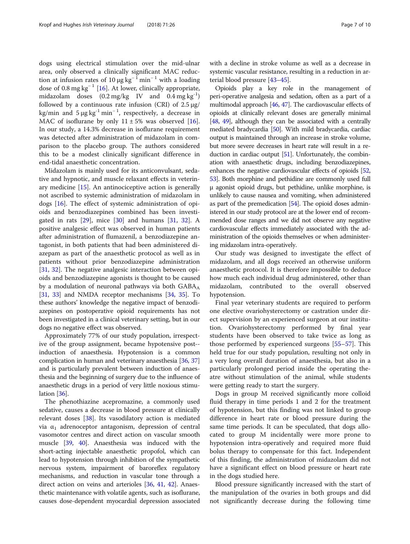dogs using electrical stimulation over the mid-ulnar area, only observed a clinically significant MAC reduction at infusion rates of 10  $\mu$ g kg<sup>-1</sup> min<sup>-1</sup> with a loading dose of 0.8 mg kg<sup>-1</sup> [[16](#page-8-0)]. At lower, clinically appropriate, midazolam doses  $(0.2 \text{ mg/kg} \text{ IV} \text{ and } 0.4 \text{ mg kg}^{-1})$ followed by a continuous rate infusion (CRI) of  $2.5 \mu$ g/ kg/min and  $5 \mu g kg^{-1}$  min<sup>-1</sup>, respectively, a decrease in MAC of isoflurane by only  $11 \pm 5\%$  was observed [\[16](#page-8-0)]. In our study, a 14.3% decrease in isoflurane requirement was detected after administration of midazolam in comparison to the placebo group. The authors considered this to be a modest clinically significant difference in end-tidal anaesthetic concentration.

Midazolam is mainly used for its anticonvulsant, sedative and hypnotic, and muscle relaxant effects in veterinary medicine [\[15](#page-8-0)]. An antinociceptive action is generally not ascribed to systemic administration of midazolam in dogs [[16](#page-8-0)]. The effect of systemic administration of opioids and benzodiazepines combined has been investigated in rats  $[29]$  $[29]$ , mice  $[30]$  $[30]$  and humans  $[31, 32]$  $[31, 32]$  $[31, 32]$  $[31, 32]$ . A positive analgesic effect was observed in human patients after administration of flumazenil, a benzodiazepine antagonist, in both patients that had been administered diazepam as part of the anaesthetic protocol as well as in patients without prior benzodiazepine administration [[31,](#page-8-0) [32\]](#page-8-0). The negative analgesic interaction between opioids and benzodiazepine agonists is thought to be caused by a modulation of neuronal pathways via both  $GABA_A$ [[31](#page-8-0), [33\]](#page-8-0) and NMDA receptor mechanisms [\[34,](#page-8-0) [35](#page-8-0)]. To these authors' knowledge the negative impact of benzodiazepines on postoperative opioid requirements has not been investigated in a clinical veterinary setting, but in our dogs no negative effect was observed.

Approximately 77% of our study population, irrespective of the group assignment, became hypotensive post- induction of anaesthesia. Hypotension is a common complication in human and veterinary anaesthesia [\[36,](#page-8-0) [37](#page-8-0)] and is particularly prevalent between induction of anaesthesia and the beginning of surgery due to the influence of anaesthetic drugs in a period of very little noxious stimulation [\[36\]](#page-8-0).

The phenothiazine acepromazine, a commonly used sedative, causes a decrease in blood pressure at clinically relevant doses [\[38\]](#page-8-0). Its vasodilatory action is mediated via  $α<sub>1</sub>$  adrenoceptor antagonism, depression of central vasomotor centres and direct action on vascular smooth muscle [\[39,](#page-8-0) [40\]](#page-8-0). Anaesthesia was induced with the short-acting injectable anaesthetic propofol, which can lead to hypotension through inhibition of the sympathetic nervous system, impairment of baroreflex regulatory mechanisms, and reduction in vascular tone through a direct action on veins and arterioles [[36](#page-8-0), [41,](#page-8-0) [42](#page-8-0)]. Anaesthetic maintenance with volatile agents, such as isoflurane, causes dose-dependent myocardial depression associated with a decline in stroke volume as well as a decrease in systemic vascular resistance, resulting in a reduction in arterial blood pressure [\[43](#page-8-0)–[45](#page-8-0)].

Opioids play a key role in the management of peri-operative analgesia and sedation, often as a part of a multimodal approach [\[46](#page-8-0), [47](#page-8-0)]. The cardiovascular effects of opioids at clinically relevant doses are generally minimal [[48](#page-8-0), [49\]](#page-8-0), although they can be associated with a centrally mediated bradycardia [\[50\]](#page-8-0). With mild bradycardia, cardiac output is maintained through an increase in stroke volume, but more severe decreases in heart rate will result in a reduction in cardiac output [\[51\]](#page-8-0). Unfortunately, the combination with anaesthetic drugs, including benzodiazepines, enhances the negative cardiovascular effects of opioids [\[52](#page-8-0), [53](#page-9-0)]. Both morphine and pethidine are commonly used full μ agonist opioid drugs, but pethidine, unlike morphine, is unlikely to cause nausea and vomiting, when administered as part of the premedication  $[54]$ . The opioid doses administered in our study protocol are at the lower end of recommended dose ranges and we did not observe any negative cardiovascular effects immediately associated with the administration of the opioids themselves or when administering midazolam intra-operatively.

Our study was designed to investigate the effect of midazolam, and all dogs received an otherwise uniform anaesthetic protocol. It is therefore impossible to deduce how much each individual drug administered, other than midazolam, contributed to the overall observed hypotension.

Final year veterinary students are required to perform one elective ovariohysterectomy or castration under direct supervision by an experienced surgeon at our institution. Ovariohysterectomy performed by final year students have been observed to take twice as long as those performed by experienced surgeons [[55](#page-9-0)–[57](#page-9-0)]. This held true for our study population, resulting not only in a very long overall duration of anaesthesia, but also in a particularly prolonged period inside the operating theatre without stimulation of the animal, while students were getting ready to start the surgery.

Dogs in group M received significantly more colloid fluid therapy in time periods 1 and 2 for the treatment of hypotension, but this finding was not linked to group difference in heart rate or blood pressure during the same time periods. It can be speculated, that dogs allocated to group M incidentally were more prone to hypotension intra-operatively and required more fluid bolus therapy to compensate for this fact. Independent of this finding, the administration of midazolam did not have a significant effect on blood pressure or heart rate in the dogs studied here.

Blood pressure significantly increased with the start of the manipulation of the ovaries in both groups and did not significantly decrease during the following time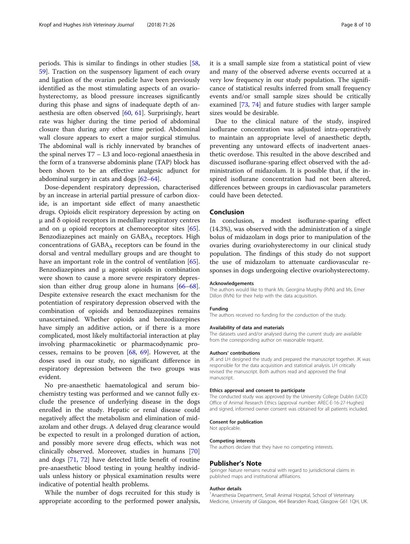periods. This is similar to findings in other studies [[58](#page-9-0), [59\]](#page-9-0). Traction on the suspensory ligament of each ovary and ligation of the ovarian pedicle have been previously identified as the most stimulating aspects of an ovariohysterectomy, as blood pressure increases significantly during this phase and signs of inadequate depth of anaesthesia are often observed [[60](#page-9-0), [61\]](#page-9-0). Surprisingly, heart rate was higher during the time period of abdominal closure than during any other time period. Abdominal wall closure appears to exert a major surgical stimulus. The abdominal wall is richly innervated by branches of the spinal nerves T7 – L3 and loco-regional anaesthesia in the form of a transverse abdominis plane (TAP) block has been shown to be an effective analgesic adjunct for abdominal surgery in cats and dogs [[62](#page-9-0)–[64\]](#page-9-0).

Dose-dependent respiratory depression, characterised by an increase in arterial partial pressure of carbon dioxide, is an important side effect of many anaesthetic drugs. Opioids elicit respiratory depression by acting on  $μ$  and δ opioid receptors in medullary respiratory centres and on  $\mu$  opioid receptors at chemoreceptor sites [\[65](#page-9-0)]. Benzodiazepines act mainly on  $GABA_A$  receptors. High concentrations of  $GABA_A$  receptors can be found in the dorsal and ventral medullary groups and are thought to have an important role in the control of ventilation [\[65](#page-9-0)]. Benzodiazepines and μ agonist opioids in combination were shown to cause a more severe respiratory depression than either drug group alone in humans [[66](#page-9-0)–[68](#page-9-0)]. Despite extensive research the exact mechanism for the potentiation of respiratory depression observed with the combination of opioids and benzodiazepines remains unascertained. Whether opioids and benzodiazepines have simply an additive action, or if there is a more complicated, most likely multifactorial interaction at play involving pharmacokinetic or pharmacodynamic processes, remains to be proven [\[68](#page-9-0), [69\]](#page-9-0). However, at the doses used in our study, no significant difference in respiratory depression between the two groups was evident.

No pre-anaesthetic haematological and serum biochemistry testing was performed and we cannot fully exclude the presence of underlying disease in the dogs enrolled in the study. Hepatic or renal disease could negatively affect the metabolism and elimination of midazolam and other drugs. A delayed drug clearance would be expected to result in a prolonged duration of action, and possibly more severe drug effects, which was not clinically observed. Moreover, studies in humans [[70](#page-9-0)] and dogs [\[71](#page-9-0), [72](#page-9-0)] have detected little benefit of routine pre-anaesthetic blood testing in young healthy individuals unless history or physical examination results were indicative of potential health problems.

While the number of dogs recruited for this study is appropriate according to the performed power analysis, it is a small sample size from a statistical point of view and many of the observed adverse events occurred at a very low frequency in our study population. The significance of statistical results inferred from small frequency events and/or small sample sizes should be critically examined [[73,](#page-9-0) [74](#page-9-0)] and future studies with larger sample sizes would be desirable.

Due to the clinical nature of the study, inspired isoflurane concentration was adjusted intra-operatively to maintain an appropriate level of anaesthetic depth, preventing any untoward effects of inadvertent anaesthetic overdose. This resulted in the above described and discussed isoflurane-sparing effect observed with the administration of midazolam. It is possible that, if the inspired isoflurane concentration had not been altered, differences between groups in cardiovascular parameters could have been detected.

# Conclusion

In conclusion, a modest isoflurane-sparing effect (14.3%), was observed with the administration of a single bolus of midazolam in dogs prior to manipulation of the ovaries during ovariohysterectomy in our clinical study population. The findings of this study do not support the use of midazolam to attenuate cardiovascular responses in dogs undergoing elective ovariohysterectomy.

#### Acknowledgements

The authors would like to thank Ms. Georgina Murphy (RVN) and Ms. Emer Dillon (RVN) for their help with the data acquisition.

#### Funding

The authors received no funding for the conduction of the study.

#### Availability of data and materials

The datasets used and/or analysed during the current study are available from the corresponding author on reasonable request.

#### Authors' contributions

JK and LH designed the study and prepared the manuscript together. JK was responsible for the data acquisition and statistical analysis. LH critically revised the manuscript. Both authors read and approved the final manuscript.

#### Ethics approval and consent to participate

The conducted study was approved by the University College Dublin (UCD) Office of Animal Research Ethics (approval number: AREC-E-16-27-Hughes) and signed, informed owner consent was obtained for all patients included.

#### Consent for publication

Not applicable.

## Competing interests

The authors declare that they have no competing interests.

## Publisher's Note

Springer Nature remains neutral with regard to jurisdictional claims in published maps and institutional affiliations.

#### Author details

<sup>1</sup> Anaesthesia Department, Small Animal Hospital, School of Veterinary Medicine, University of Glasgow, 464 Bearsden Road, Glasgow G61 1QH, UK.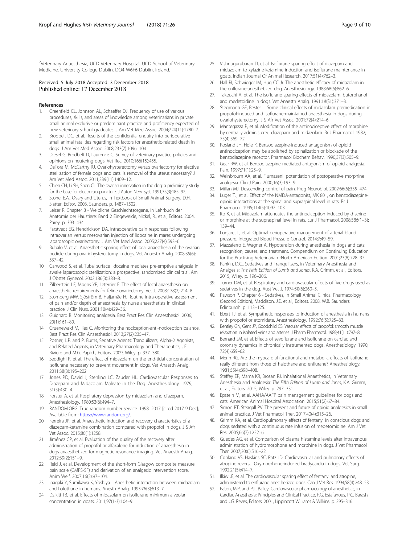<span id="page-8-0"></span><sup>2</sup>Veterinary Anaesthesia, UCD Veterinary Hospital, UCD School of Veterinary Medicine, University College Dublin, DO4 W6F6 Dublin, Ireland.

## Received: 5 July 2018 Accepted: 3 December 2018 Published online: 17 December 2018

#### References

- 1. Greenfield CL, Johnson AL, Schaeffer DJ. Frequency of use of various procedures, skills, and areas of knowledge among veterinarians in private small animal exclusive or predominant practice and proficiency expected of new veterinary school graduates. J Am Vet Med Assoc. 2004;224(11):1780–7.
- 2. Brodbelt DC, et al. Results of the confidential enquiry into perioperative small animal fatalities regarding risk factors for anesthetic-related death in dogs. J Am Vet Med Assoc. 2008;233(7):1096–104.
- 3. Diesel G, Brodbelt D, Laurence C. Survey of veterinary practice policies and opinions on neutering dogs. Vet Rec. 2010;166(15):455.
- 4. DeTora M, McCarthy RJ. Ovariohysterectomy versus ovariectomy for elective sterilization of female dogs and cats: is removal of the uterus necessary? J Am Vet Med Assoc. 2011;239(11):1409–12.
- 5. Chien CH, Li SH, Shen CL. The ovarian innervation in the dog: a preliminary study for the base for electro-acupuncture. J Auton Nerv Syst. 1991;35(3):185–92.
- 6. Stone, E.A., Ovary and Uterus, in Textbook of Small Animal Surgery, D.H. Slatter, Editor. 2003, Saunders. p. 1487–1502.
- 7. Leiser R. Chapter 8 Weibliche Geschlechtsorgane, in Lehrbuch der Anatomie der Haustiere: Band 2 Eingeweide, Nickel, R., et al, Editors. 2004, Parey. p. 393–434.
- 8. Farstvedt EG, Hendrickson DA. Intraoperative pain responses following intraovarian versus mesovarian injection of lidocaine in mares undergoing laparoscopic ovariectomy. J Am Vet Med Assoc. 2005;227(4):593–6.
- 9. Bubalo V, et al. Anaesthetic sparing effect of local anaesthesia of the ovarian pedicle during ovariohysterectomy in dogs. Vet Anaesth Analg. 2008;35(6): 537–42.
- 10. Garwood S, et al. Tubal surface lidocaine mediates pre-emptive analgesia in awake laparoscopic sterilization: a prospective, randomized clinical trial. Am J Obstet Gynecol. 2002;186(3):383–8.
- 11. Zilberstein LF, Moens YP, Leterrier E. The effect of local anaesthesia on anaesthetic requirements for feline ovariectomy. Vet J. 2008;178(2):214–8.
- 12. Stomberg MW, Sjöström B, Haljamäe H. Routine intra-operative assessment of pain and/or depth of anaesthesia by nurse anaesthetists in clinical practice. J Clin Nurs. 2001;10(4):429–36.
- 13. Guignard B. Monitoring analgesia. Best Pract Res Clin Anaesthesiol. 2006; 20(1):161–80.
- 14. Gruenewald M, Ilies C. Monitoring the nociception-anti-nociception balance. Best Pract Res Clin Anaesthesiol. 2013;27(2):235–47.
- 15. Posner, L.P. and P. Burns, Sedative Agents: Tranquilizers, Alpha-2 Agonists, and Related Agents, in Veterinary Pharmacology and Therapeutics, J.E. Riviere and M.G. Papich, Editors. 2009, Wiley. p. 337–380.
- 16. Seddighi R, et al. The effect of midazolam on the end-tidal concentration of isoflurane necessary to prevent movement in dogs. Vet Anaesth Analg. 2011;38(3):195–202.
- 17. Jones PD, David J, Stehling LC, Zauder HL. Cardiovascular Responses to Diazepam and Midazolam Maleate in the Dog. Anesthesiology. 1979; 51(5):430–4.
- 18. Forster A, et al. Respiratory depression by midazolam and diazepam. Anesthesiology. 1980;53(6):494–7.
- 19. RANDOM.ORG. True random number service. 1998–2017 [cited 2017 9 Dec]; Available from: <https://www.random.org/>.
- 20. Ferreira JP, et al. Anaesthetic induction and recovery characteristics of a diazepam-ketamine combination compared with propofol in dogs. J S Afr Vet Assoc. 2015;86(1):1258.
- 21. Jiménez CP, et al. Evaluation of the quality of the recovery after administration of propofol or alfaxalone for induction of anaesthesia in dogs anaesthetized for magnetic resonance imaging. Vet Anaesth Analg. 2012;39(2):151–9.
- 22. Reid J, et al. Development of the short-form Glasgow composite measure pain scale (CMPS-SF) and derivation of an analgesic intervention score. Anim Welf. 2007;16(2):97–104.
- 23. Inagaki Y, Sumikawa K, Yoshiya I. Anesthetic interaction between midazolam and halothane in humans. Anesth Analg. 1993;76(3):613–7.
- 24. Dzikiti TB, et al. Effects of midazolam on isoflurane minimum alveolar concentration in goats. 2011;97(1-3):104–9.
- 25. Vishnugurubaran D, et al. Isoflurane sparing effect of diazepam and midazolam to xylazine-ketamine induction and isoflurane maintenance in goats. Indian Journal Of Animal Research. 2017;51(4):762–3.
- 26. Hall RI, Schwieger IM, Hug CC Jr. The anesthetic efficacy of midazolam in the enflurane-anesthetized dog. Anesthesiology. 1988;68(6):862–6.
- 27. Takeuchi A, et al. The isoflurane sparing effects of midazolam, butorphanol and medetoidine in dogs. Vet Anaesth Analg. 1991;18(S1):371–3.
- 28. Stegmann GF, Bester L. Some clinical effects of midazolam premedication in propofol-induced and isoflurane-maintained anaesthesia in dogs during ovariohysterectomy. J S Afr Vet Assoc. 2001;72(4):214–6.
- 29. Mantegazza P, et al. Modification of the antinociceptive effect of morphine by centrally administered diazepam and midazolam. Br J Pharmacol. 1982; 75(4):569–72.
- 30. Rosland JH, Hole K. Benzodiazepine-induced antagonism of opioid antinociception may be abolished by spinalization or blockade of the benzodiazepine receptor. Pharmacol Biochem Behav. 1990;37(3):505–9.
- 31. Gear RW, et al. Benzodiazepine mediated antagonism of opioid analgesia. Pain. 1997;71(1):25–9.
- 32. Weinbroum AA, et al. Flumazenil potentiation of postoperative morphine analgesia. Clin J Pain. 2000;16(3):193–9.
- 33. Millan MJ. Descending control of pain. Prog Neurobiol. 2002;66(6):355–474.
- 34. Luger TJ, et al. Effect of the NMDA-antagonist, MK 801, on benzodiazepineopioid interactions at the spinal and supraspinal level in rats. Br J Pharmacol. 1995;114(5):1097–103.
- 35. Ito K, et al. Midazolam attenuates the antinociception induced by d-serine or morphine at the supraspinal level in rats. Eur J Pharmacol. 2008;586(1–3): 139–44.
- 36. Lonjaret L, et al. Optimal perioperative management of arterial blood pressure. Integrated Blood Pressure Control. 2014;7:49–59.
- 37. Mazzaferro E, Wagner A. Hypotension during anesthesia in dogs and cats: recognition, causes, and treatment. Compendium on Continuing Education for the Practising Veterinarian -North American Edition. 2001;23(8):728–37.
- 38. Rankin, D.C., Sedatives and Tranquilizers, in Veterinary Anesthesia and Analgesia: The Fifth Edition of Lumb and Jones, K.A. Grimm, et al., Editors. 2015, Wiley. p. 196–206.
- 39. Turner DM, et al. Respiratory and cardiovascular effects of five drugs used as sedatives in the dog. Aust Vet J. 1974;50(6):260–5.
- 40. Pawson P. Chapter 6 Sedatives, in Small Animal Clinical Pharmacology (Second Edition), Maddison, J.E. et al., Editors. 2008, W.B. Saunders: Edinburgh. p. 113–125.
- 41. Ebert TJ, et al. Sympathetic responses to induction of anesthesia in humans with propofol or etomidate. Anesthesiology. 1992;76(5):725–33.
- 42. Bentley GN, Gent JP, Goodchild CS. Vascular effects of propofol: smooth muscle relaxation in isolated veins and arteries. J Pharm Pharmacol. 1989;41(11):797-8.
- 43. Bernard JM, et al. Effects of sevoflurane and isoflurane on cardiac and coronary dynamics in chronically instrumented dogs. Anesthesiology. 1990; 72(4):659–62.
- 44. Merin RG. Are the myocardial functional and metabolic effects of isoflurane really different from those of halothane and enflurane? Anesthesiology. 1981;55(4):398–408.
- 45. Steffey EP, Mama KR, Brosan RJ. Inhalational Anaethetics, in Veterinary Anesthesia and Analgesia: The Fifth Edition of Lumb and Jones, K.A. Grimm, et al., Editors. 2015, Wiley. p. 297–331.
- 46. Epstein M, et al. AAHA/AAFP pain management guidelines for dogs and cats. American Animal Hospital Association. 2015;51(2):67–84.
- 47. Simon BT, Steagall PV. The present and future of opioid analgesics in small animal practice. J Vet Pharmacol Ther. 2017;40(4):315–26.
- 48. Grimm KA, et al. Cardiopulmonary effects of fentanyl in conscious dogs and dogs sedated with a continuous rate infusion of medetomidine. Am J Vet Res. 2005;66(7):1222–6.
- 49. Guedes AG, et al. Comparison of plasma histamine levels after intravenous administration of hydromorphone and morphine in dogs. J Vet Pharmacol Ther. 2007;30(6):516–22.
- 50. Copland VS, Haskins SC, Patz JD. Cardiovascular and pulmonary effects of atropine reversal Oxymorphone-induced bradycardia in dogs. Vet Surg. 1992;21(5):414–7.
- 51. Ilkiw JE, et al. The cardiovascular sparing effect of fentanyl and atropine, administered to enflurane anesthetized dogs. Can J Vet Res. 1994;58(4):248–53.
- 52. Eaton, M.P. and P.L. Bailey, Cardiovascular pharmacology of anesthetics, in Cardiac Anesthesia: Principles and Clinical Practice, F.G. Estafanous, P.G. Barash, and J.G. Reves, Editors. 2001, Lippincott Williams & Wilkins. p. 295–316.